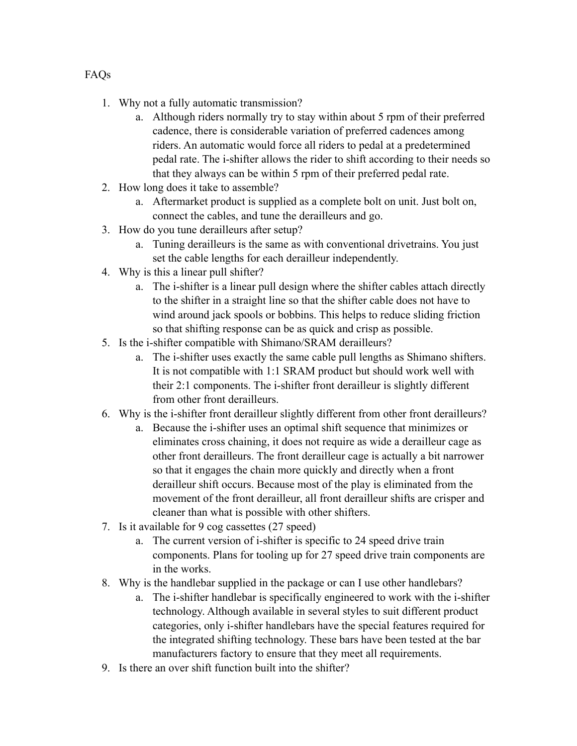- 1. Why not a fully automatic transmission?
	- a. Although riders normally try to stay within about 5 rpm of their preferred cadence, there is considerable variation of preferred cadences among riders. An automatic would force all riders to pedal at a predetermined pedal rate. The i-shifter allows the rider to shift according to their needs so that they always can be within 5 rpm of their preferred pedal rate.
- 2. How long does it take to assemble?
	- a. Aftermarket product is supplied as a complete bolt on unit. Just bolt on, connect the cables, and tune the derailleurs and go.
- 3. How do you tune derailleurs after setup?
	- a. Tuning derailleurs is the same as with conventional drivetrains. You just set the cable lengths for each derailleur independently.
- 4. Why is this a linear pull shifter?
	- a. The i-shifter is a linear pull design where the shifter cables attach directly to the shifter in a straight line so that the shifter cable does not have to wind around jack spools or bobbins. This helps to reduce sliding friction so that shifting response can be as quick and crisp as possible.
- 5. Is the i-shifter compatible with Shimano/SRAM derailleurs?
	- a. The i-shifter uses exactly the same cable pull lengths as Shimano shifters. It is not compatible with 1:1 SRAM product but should work well with their 2:1 components. The i-shifter front derailleur is slightly different from other front derailleurs.
- 6. Why is the i-shifter front derailleur slightly different from other front derailleurs?
	- a. Because the i-shifter uses an optimal shift sequence that minimizes or eliminates cross chaining, it does not require as wide a derailleur cage as other front derailleurs. The front derailleur cage is actually a bit narrower so that it engages the chain more quickly and directly when a front derailleur shift occurs. Because most of the play is eliminated from the movement of the front derailleur, all front derailleur shifts are crisper and cleaner than what is possible with other shifters.
- 7. Is it available for 9 cog cassettes (27 speed)
	- a. The current version of i-shifter is specific to 24 speed drive train components. Plans for tooling up for 27 speed drive train components are in the works.
- 8. Why is the handlebar supplied in the package or can I use other handlebars?
	- a. The i-shifter handlebar is specifically engineered to work with the i-shifter technology. Although available in several styles to suit different product categories, only i-shifter handlebars have the special features required for the integrated shifting technology. These bars have been tested at the bar manufacturers factory to ensure that they meet all requirements.
- 9. Is there an over shift function built into the shifter?